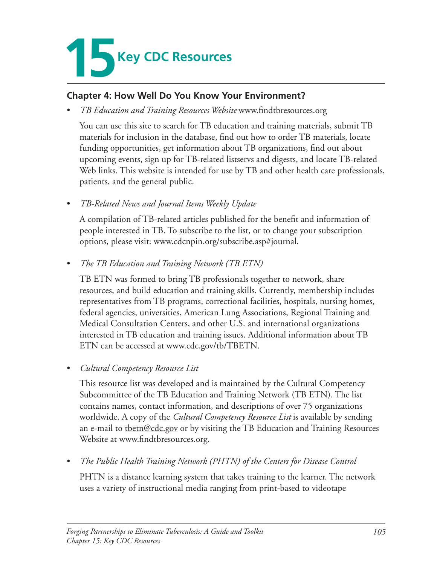

#### **Chapter 4: How Well Do You Know Your Environment?**

*TB Education and Training Resources Website* www.findtbresources.org

You can use this site to search for TB education and training materials, submit TB materials for inclusion in the database, find out how to order TB materials, locate funding opportunities, get information about TB organizations, find out about upcoming events, sign up for TB-related listservs and digests, and locate TB-related Web links. This website is intended for use by TB and other health care professionals, patients, and the general public.

• *TB-Related News and Journal Items Weekly Update* 

A compilation of TB-related articles published for the benefit and information of people interested in TB. To subscribe to the list, or to change your subscription options, please visit: www.cdcnpin.org/subscribe.asp#journal.

• *The TB Education and Training Network (TB ETN)* 

TB ETN was formed to bring TB professionals together to network, share resources, and build education and training skills. Currently, membership includes representatives from TB programs, correctional facilities, hospitals, nursing homes, federal agencies, universities, American Lung Associations, Regional Training and Medical Consultation Centers, and other U.S. and international organizations interested in TB education and training issues. Additional information about TB ETN can be accessed at www.cdc.gov/tb/TBETN.

• *Cultural Competency Resource List* 

This resource list was developed and is maintained by the Cultural Competency Subcommittee of the TB Education and Training Network (TB ETN). The list contains names, contact information, and descriptions of over 75 organizations worldwide. A copy of the *Cultural Competency Resource List* is available by sending an e-mail to thetn@cdc.gov or by visiting the TB Education and Training Resources Website at www.findtbresources.org.

• *The Public Health Training Network (PHTN) of the Centers for Disease Control* 

PHTN is a distance learning system that takes training to the learner. The network uses a variety of instructional media ranging from print-based to videotape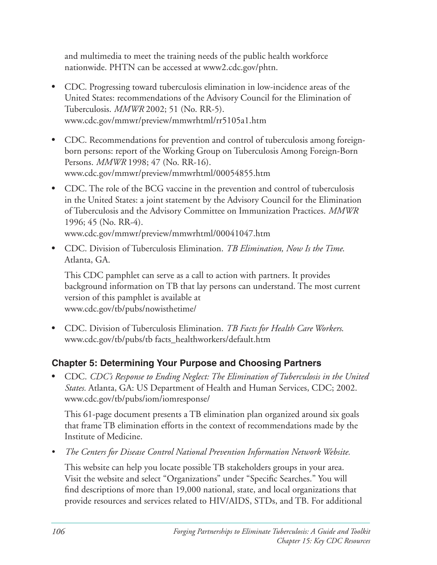and multimedia to meet the training needs of the public health workforce nationwide. PHTN can be accessed at www2.cdc.gov/phtn.

- CDC. Progressing toward tuberculosis elimination in low-incidence areas of the United States: recommendations of the Advisory Council for the Elimination of Tuberculosis. *MMWR* 2002; 51 (No. RR-5). www.cdc.gov/mmwr/preview/mmwrhtml/rr5105a1.htm
- CDC. Recommendations for prevention and control of tuberculosis among foreignborn persons: report of the Working Group on Tuberculosis Among Foreign-Born Persons. *MMWR* 1998; 47 (No. RR-16). www.cdc.gov/mmwr/preview/mmwrhtml/00054855.htm
- CDC. The role of the BCG vaccine in the prevention and control of tuberculosis in the United States: a joint statement by the Advisory Council for the Elimination of Tuberculosis and the Advisory Committee on Immunization Practices. *MMWR*  $1996; 45$  (No. RR-4). www.cdc.gov/mmwr/preview/mmwrhtml/00041047.htm
- CDC. Division of Tuberculosis Elimination. *TB Elimination, Now Is the Time*. Atlanta, GA.

This CDC pamphlet can serve as a call to action with partners. It provides background information on TB that lay persons can understand. The most current version of this pamphlet is available at www.cdc.gov/tb/pubs/nowisthetime/ 

• CDC. Division of Tuberculosis Elimination. *TB Facts for Health Care Workers*. www.cdc.gov/tb/pubs/tb facts\_healthworkers/default.htm

# **Chapter 5: Determining Your Purpose and Choosing Partners**

• CDC. *CDC's Response to Ending Neglect: The Elimination of Tuberculosis in the United States.* Atlanta, GA: US Department of Health and Human Services, CDC; 2002. www.cdc.gov/tb/pubs/iom/iomresponse/

This 61-page document presents a TB elimination plan organized around six goals that frame TB elimination efforts in the context of recommendations made by the Institute of Medicine.

The Centers for Disease Control National Prevention Information Network Website.

This website can help you locate possible TB stakeholders groups in your area. Visit the website and select "Organizations" under "Specific Searches." You will find descriptions of more than 19,000 national, state, and local organizations that provide resources and services related to HIV/AIDS, STDs, and TB. For additional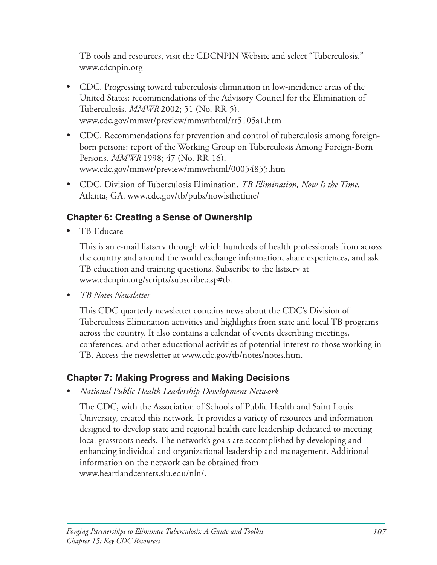TB tools and resources, visit the CDCNPIN Website and select "Tuberculosis." www.cdcnpin.org

- CDC. Progressing toward tuberculosis elimination in low-incidence areas of the United States: recommendations of the Advisory Council for the Elimination of Tuberculosis. *MMWR* 2002; 51 (No. RR-5). www.cdc.gov/mmwr/preview/mmwrhtml/rr5105a1.htm
- CDC. Recommendations for prevention and control of tuberculosis among foreignborn persons: report of the Working Group on Tuberculosis Among Foreign-Born Persons. *MMWR* 1998; 47 (No. RR-16). www.cdc.gov/mmwr/preview/mmwrhtml/00054855.htm
- CDC. Division of Tuberculosis Elimination. *TB Elimination, Now Is the Time*. Atlanta, GA. www.cdc.gov/tb/pubs/nowisthetime/

## **Chapter 6: Creating a Sense of Ownership**

TB-Educate

This is an e-mail listserv through which hundreds of health professionals from across the country and around the world exchange information, share experiences, and ask TB education and training questions. Subscribe to the listserv at www.cdcnpin.org/scripts/subscribe.asp#tb.

• *TB Notes Newsletter* 

This CDC quarterly newsletter contains news about the CDC's Division of Tuberculosis Elimination activities and highlights from state and local TB programs across the country. It also contains a calendar of events describing meetings, conferences, and other educational activities of potential interest to those working in TB. Access the newsletter at www.cdc.gov/tb/notes/notes.htm.

### **Chapter 7: Making Progress and Making Decisions**

• *National Public Health Leadership Development Network* 

The CDC, with the Association of Schools of Public Health and Saint Louis University, created this network. It provides a variety of resources and information designed to develop state and regional health care leadership dedicated to meeting local grassroots needs. The network's goals are accomplished by developing and enhancing individual and organizational leadership and management. Additional information on the network can be obtained from www.heartlandcenters.slu.edu/nln/.